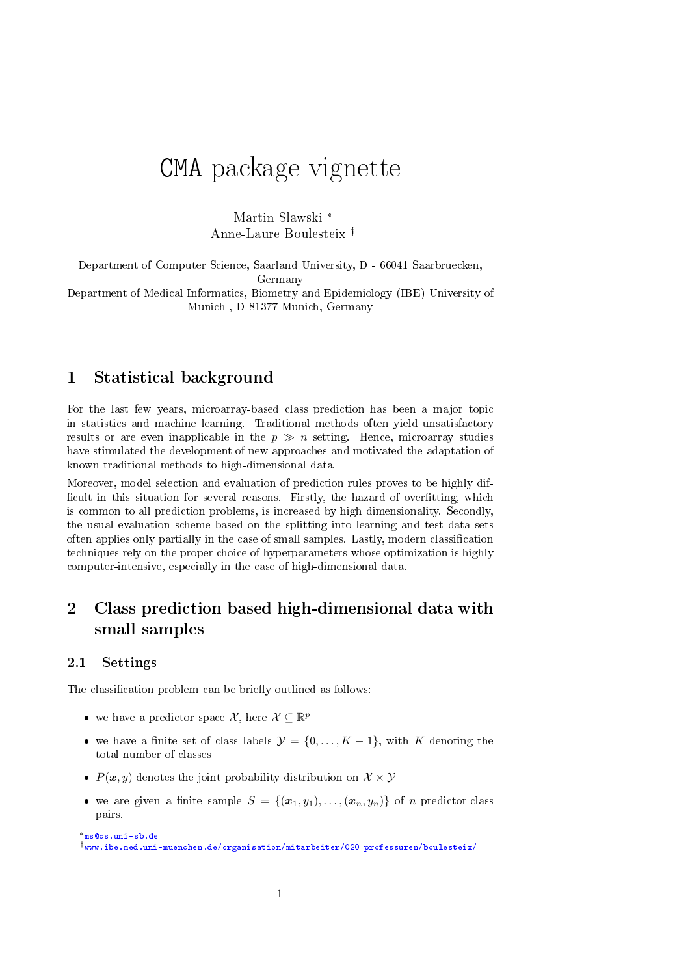# CMA package vignette

Martin Slawski \* Anne-Laure Boulesteix

Department of Computer Science, Saarland University, D - 66041 Saarbruecken, Germany

Department of Medical Informatics, Biometry and Epidemiology (IBE) University of Munich , D-81377 Munich, Germany

#### 1 Statistical background

For the last few years, microarray-based class prediction has been a major topic in statistics and machine learning. Traditional methods often yield unsatisfactory results or are even inapplicable in the  $p \gg n$  setting. Hence, microarray studies have stimulated the development of new approaches and motivated the adaptation of known traditional methods to high-dimensional data.

Moreover, model selection and evaluation of prediction rules proves to be highly dif ficult in this situation for several reasons. Firstly, the hazard of overfitting, which is common to all prediction problems, is increased by high dimensionality. Secondly, the usual evaluation scheme based on the splitting into learning and test data sets often applies only partially in the case of small samples. Lastly, modern classification techniques rely on the proper choice of hyperparameters whose optimization is highly computer-intensive, especially in the case of high-dimensional data.

## <span id="page-0-0"></span>2 Class prediction based high-dimensional data with small samples

#### 2.1 Settings

The classification problem can be briefly outlined as follows:

- we have a predictor space X, here  $\mathcal{X} \subseteq \mathbb{R}^p$
- we have a finite set of class labels  $\mathcal{Y} = \{0, ..., K-1\}$ , with K denoting the total number of classes
- $P(x, y)$  denotes the joint probability distribution on  $\mathcal{X} \times \mathcal{Y}$
- we are given a finite sample  $S = \{(\boldsymbol{x}_1, y_1), \ldots, (\boldsymbol{x}_n, y_n)\}\$  of n predictor-class pairs.

\*<ms@cs.uni-sb.de>

[www.ibe.med.uni-muenchen.de/organisation/mitarbeiter/020\\_professuren/boulesteix/](www.ibe.med.uni-muenchen.de/organisation/mitarbeiter/020_professuren/boulesteix/)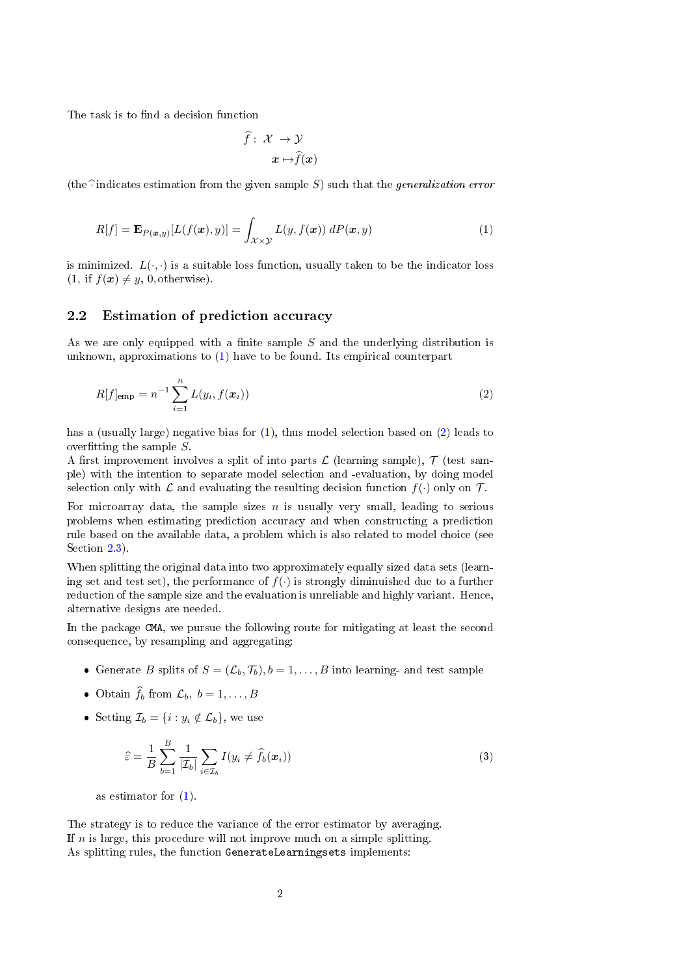The task is to find a decision function

<span id="page-1-1"></span>
$$
\widehat{f}: \; \mathcal{X} \; \rightarrow \mathcal{Y} \\ x \mapsto \widehat{f}(x)
$$

<span id="page-1-0"></span>(the  $\widehat{\cdot}$  indicates estimation from the given sample S) such that the *generalization error* 

$$
R[f] = \mathbf{E}_{P(\boldsymbol{x},y)}[L(f(\boldsymbol{x}),y)] = \int_{\mathcal{X}\times\mathcal{Y}} L(y,f(\boldsymbol{x})) \ dP(\boldsymbol{x},y) \tag{1}
$$

is minimized.  $L(\cdot, \cdot)$  is a suitable loss function, usually taken to be the indicator loss  $(1, if f(x) \neq y, 0, otherwise).$ 

#### 2.2 Estimation of prediction accuracy

As we are only equipped with a finite sample  $S$  and the underlying distribution is unknown, approximations to [\(1\)](#page-1-0) have to be found. Its empirical counterpart

$$
R[f]_{\text{emp}} = n^{-1} \sum_{i=1}^{n} L(y_i, f(\boldsymbol{x}_i))
$$
\n(2)

has a (usually large) negative bias for [\(1\)](#page-1-0), thus model selection based on [\(2\)](#page-1-1) leads to overfitting the sample  $S$ .

A first improvement involves a split of into parts  $\mathcal L$  (learning sample),  $\mathcal T$  (test sample) with the intention to separate model selection and -evaluation, by doing model selection only with  $\mathcal L$  and evaluating the resulting decision function  $f(\cdot)$  only on  $\mathcal T$ .

For microarray data, the sample sizes  $n$  is usually very small, leading to serious problems when estimating prediction accuracy and when constructing a prediction rule based on the available data, a problem which is also related to model choice (see Section [2.3\)](#page-2-0).

When splitting the original data into two approximately equally sized data sets (learning set and test set), the performance of  $f(\cdot)$  is strongly diminuished due to a further reduction of the sample size and the evaluation is unreliable and highly variant. Hence, alternative designs are needed.

In the package CMA, we pursue the following route for mitigating at least the second consequence, by resampling and aggregating:

- Generate B splits of  $S = (\mathcal{L}_b, \mathcal{T}_b), b = 1, \ldots, B$  into learning- and test sample
- Obtain  $\widehat{f}_b$  from  $\mathcal{L}_b$ ,  $b = 1, ..., B$
- Setting  $\mathcal{I}_b = \{i : y_i \notin \mathcal{L}_b\}$ , we use

<span id="page-1-2"></span>
$$
\widehat{\varepsilon} = \frac{1}{B} \sum_{b=1}^{B} \frac{1}{|\mathcal{I}_b|} \sum_{i \in \mathcal{I}_b} I(y_i \neq \widehat{f}_b(\boldsymbol{x}_i))
$$
\n(3)

as estimator for [\(1\)](#page-1-0).

The strategy is to reduce the variance of the error estimator by averaging. If  $n$  is large, this procedure will not improve much on a simple splitting. As splitting rules, the function GenerateLearningsets implements: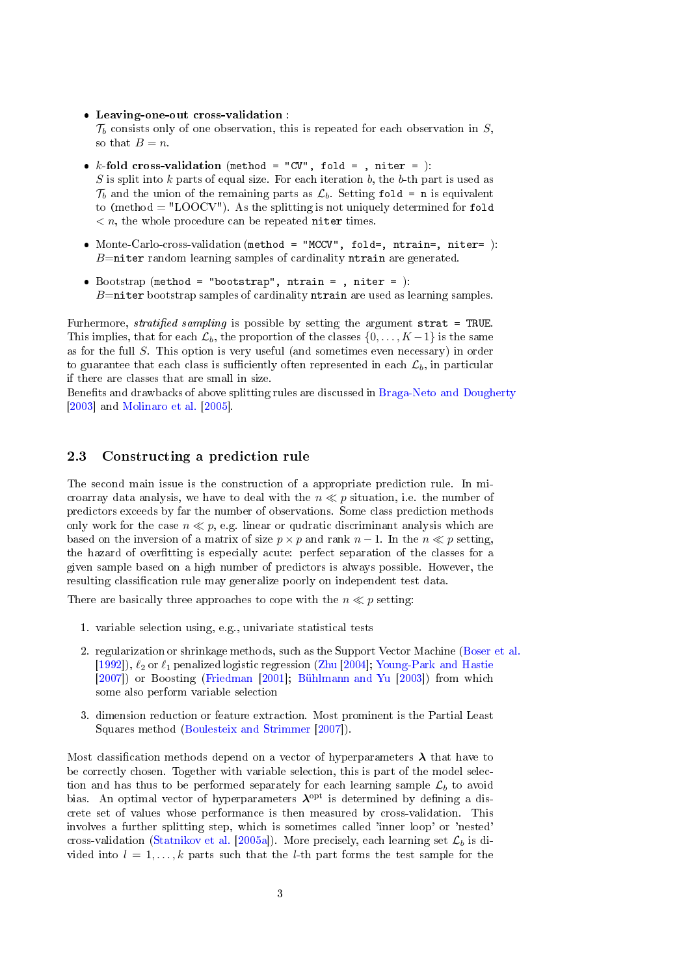Leaving-one-out cross-validation :

 $\mathcal{T}_b$  consists only of one observation, this is repeated for each observation in S, so that  $B = n$ .

- $k$ -fold cross-validation (method = "CV", fold = , niter = ):  $S$  is split into  $k$  parts of equal size. For each iteration  $b$ , the  $b$ -th part is used as  $\mathcal{T}_b$  and the union of the remaining parts as  $\mathcal{L}_b$ . Setting fold = n is equivalent to (method  $=$  "LOOCV"). As the splitting is not uniquely determined for fold  $n \leq n$ , the whole procedure can be repeated niter times.
- Monte-Carlo-cross-validation (method = "MCCV", fold=, ntrain=, niter= ):  $B=$ niter random learning samples of cardinality ntrain are generated.
- $\bullet$  Bootstrap (method = "bootstrap", ntrain = , niter = ):  $B$ =niter bootstrap samples of cardinality ntrain are used as learning samples.

Furhermore, stratified sampling is possible by setting the argument strat = TRUE. This implies, that for each  $\mathcal{L}_b$ , the proportion of the classes  $\{0, \ldots, K-1\}$  is the same as for the full S. This option is very useful (and sometimes even necessary) in order to guarantee that each class is sufficiently often represented in each  $\mathcal{L}_b$ , in particular if there are classes that are small in size.

Benefits and drawbacks of above splitting rules are discussed in [Braga-Neto and Dougherty](#page-12-0) [\[2003\]](#page-12-0) and [Molinaro et al.](#page-13-0) [\[2005\]](#page-13-0).

#### <span id="page-2-0"></span>2.3 Constructing a prediction rule

The second main issue is the construction of a appropriate prediction rule. In microarray data analysis, we have to deal with the  $n \ll p$  situation, i.e. the number of predictors exceeds by far the number of observations. Some class prediction methods only work for the case  $n \ll p$ , e.g. linear or qudratic discriminant analysis which are based on the inversion of a matrix of size  $p \times p$  and rank  $n - 1$ . In the  $n \ll p$  setting, the hazard of overtting is especially acute: perfect separation of the classes for a given sample based on a high number of predictors is always possible. However, the resulting classification rule may generalize poorly on independent test data.

There are basically three approaches to cope with the  $n \ll p$  setting:

- 1. variable selection using, e.g., univariate statistical tests
- 2. regularization or shrinkage methods, such as the Support Vector Machine [\(Boser et al.](#page-12-1) [\[1992\]](#page-12-1)),  $\ell_2$  or  $\ell_1$  penalized logistic regression [\(Zhu](#page-13-1) [\[2004\]](#page-13-1); [Young-Park and Hastie](#page-13-2) [\[2007\]](#page-13-2)) or Boosting [\(Friedman](#page-12-2) [\[2001\]](#page-12-2); [Bühlmann and Yu](#page-12-3) [\[2003\]](#page-12-3)) from which some also perform variable selection
- 3. dimension reduction or feature extraction. Most prominent is the Partial Least Squares method [\(Boulesteix and Strimmer](#page-12-4) [\[2007\]](#page-12-4)).

Most classification methods depend on a vector of hyperparameters  $\lambda$  that have to be correctly chosen. Together with variable selection, this is part of the model selection and has thus to be performed separately for each learning sample  $\mathcal{L}_b$  to avoid bias. An optimal vector of hyperparameters  $\lambda^{opt}$  is determined by defining a discrete set of values whose performance is then measured by cross-validation. This involves a further splitting step, which is sometimes called 'inner loop' or 'nested' cross-validation [\(Statnikov et al.](#page-13-3) [\[2005a\]](#page-13-3)). More precisely, each learning set  $\mathcal{L}_b$  is divided into  $l = 1, ..., k$  parts such that the *l*-th part forms the test sample for the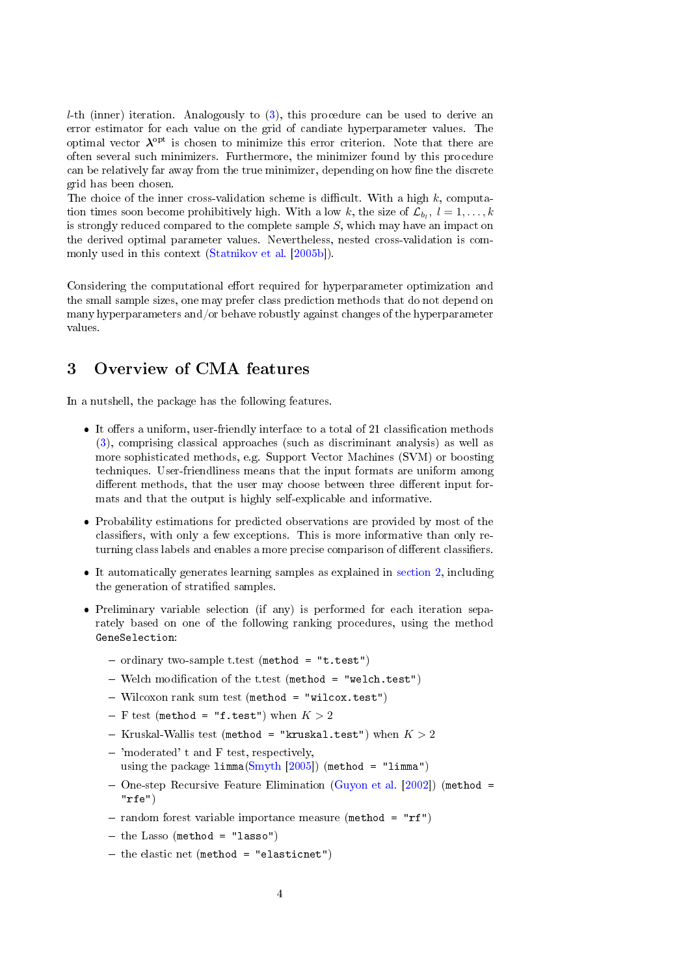$l$ -th (inner) iteration. Analogously to  $(3)$ , this procedure can be used to derive an error estimator for each value on the grid of candiate hyperparameter values. The optimal vector  ${\boldsymbol{\lambda}}^{\text{opt}}$  is chosen to minimize this error criterion. Note that there are often several such minimizers. Furthermore, the minimizer found by this procedure can be relatively far away from the true minimizer, depending on how fine the discrete grid has been chosen.

The choice of the inner cross-validation scheme is difficult. With a high  $k$ , computation times soon become prohibitively high. With a low k, the size of  $\mathcal{L}_{b_l}, l = 1, \ldots, k$ is strongly reduced compared to the complete sample  $S$ , which may have an impact on the derived optimal parameter values. Nevertheless, nested cross-validation is commonly used in this context [\(Statnikov et al.](#page-13-4) [\[2005b\]](#page-13-4)).

Considering the computational effort required for hyperparameter optimization and the small sample sizes, one may prefer class prediction methods that do not depend on many hyperparameters and/or behave robustly against changes of the hyperparameter values.

## <span id="page-3-0"></span>3 Overview of CMA features

In a nutshell, the package has the following features.

- $\bullet$  It offers a uniform, user-friendly interface to a total of 21 classification methods [\(3\)](#page-3-0), comprising classical approaches (such as discriminant analysis) as well as more sophisticated methods, e.g. Support Vector Machines (SVM) or boosting techniques. User-friendliness means that the input formats are uniform among different methods, that the user may choose between three different input formats and that the output is highly self-explicable and informative.
- Probability estimations for predicted observations are provided by most of the classifiers, with only a few exceptions. This is more informative than only returning class labels and enables a more precise comparison of different classifiers.
- $\bullet$  It automatically generates learning samples as explained in [section](#page-0-0) [2,](#page-0-0) including the generation of stratified samples.
- Preliminary variable selection (if any) is performed for each iteration separately based on one of the following ranking procedures, using the method GeneSelection:
	- $-$  ordinary two-sample t.test (method = "t.test")
	- $-$  Welch modification of the t.test (method = "welch.test")
	- Wilcoxon rank sum test (method = "wilcox.test")
	- F test (method = "f.test") when  $K > 2$
	- Kruskal-Wallis test (method = "kruskal.test") when  $K > 2$
	- 'moderated' t and F test, respectively, using the package limma[\(Smyth](#page-13-5) [\[2005\]](#page-13-5)) (method = "limma")
	- $-$  One-step Recursive Feature Elimination [\(Guyon et al.](#page-13-6) [\[2002\]](#page-13-6)) (method = "rfe")
	- random forest variable importance measure (method = " $rf$ ")
	- $-$  the Lasso (method = "lasso")
	- $-$  the elastic net (method = "elasticnet")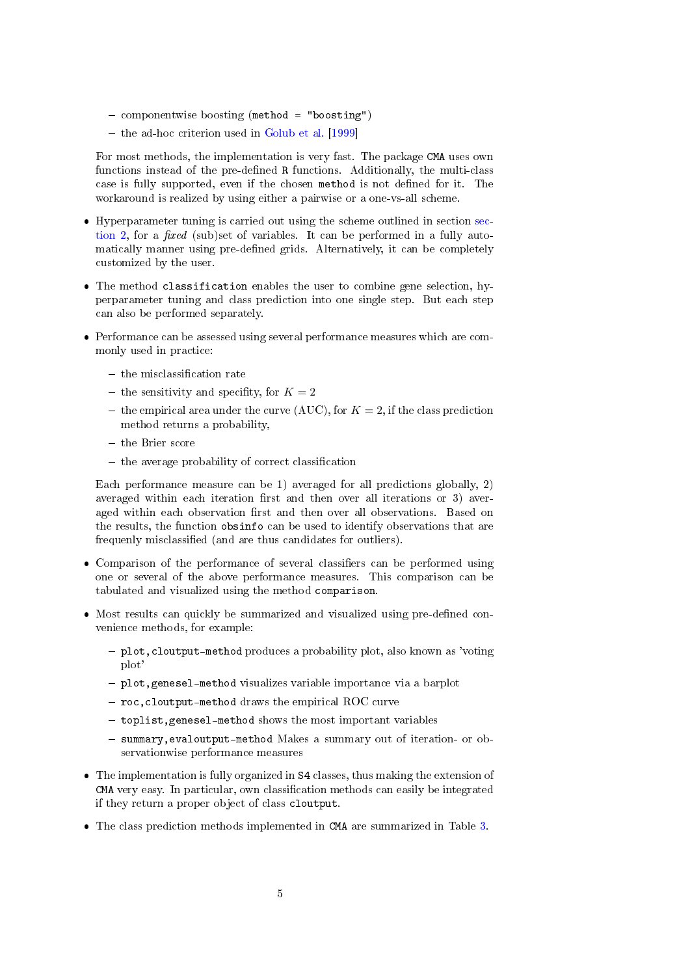- $-$  componentwise boosting (method = "boosting")
- $-$  the ad-hoc criterion used in [Golub et al.](#page-12-5) [\[1999\]](#page-12-5)

For most methods, the implementation is very fast. The package CMA uses own functions instead of the pre-defined R functions. Additionally, the multi-class case is fully supported, even if the chosen method is not defined for it. The workaround is realized by using either a pairwise or a one-vs-all scheme.

- Hyperparameter tuning is carried out using the scheme outlined in section [sec](#page-0-0)[tion](#page-0-0) [2,](#page-0-0) for a *fixed* (sub)set of variables. It can be performed in a fully automatically manner using pre-defined grids. Alternatively, it can be completely customized by the user.
- The method classification enables the user to combine gene selection, hyperparameter tuning and class prediction into one single step. But each step can also be performed separately.
- Performance can be assessed using several performance measures which are commonly used in practice:
	- $-$  the misclassification rate
	- the sensitivity and specifity, for  $K = 2$
	- the empirical area under the curve (AUC), for  $K = 2$ , if the class prediction method returns a probability,
	- $-$  the Brier score
	- $-$  the average probability of correct classification

Each performance measure can be 1) averaged for all predictions globally, 2) averaged within each iteration first and then over all iterations or 3) averaged within each observation first and then over all observations. Based on the results, the function obsinfo can be used to identify observations that are frequenly misclassified (and are thus candidates for outliers).

- Comparison of the performance of several classifiers can be performed using one or several of the above performance measures. This comparison can be tabulated and visualized using the method comparison.
- $\bullet$  Most results can quickly be summarized and visualized using pre-defined convenience methods, for example:
	- plot,cloutput-method produces a probability plot, also known as 'voting plot'
	- plot,genesel-method visualizes variable importance via a barplot
	- $-$  roc, cloutput-method draws the empirical ROC curve
	- $-$  toplist, genesel-method shows the most important variables
	- summary, evaloutput-method Makes a summary out of iteration- or observationwise performance measures
- The implementation is fully organized in S4 classes, thus making the extension of CMA very easy. In particular, own classification methods can easily be integrated if they return a proper object of class cloutput.
- The class prediction methods implemented in CMA are summarized in Table [3.](#page-3-0)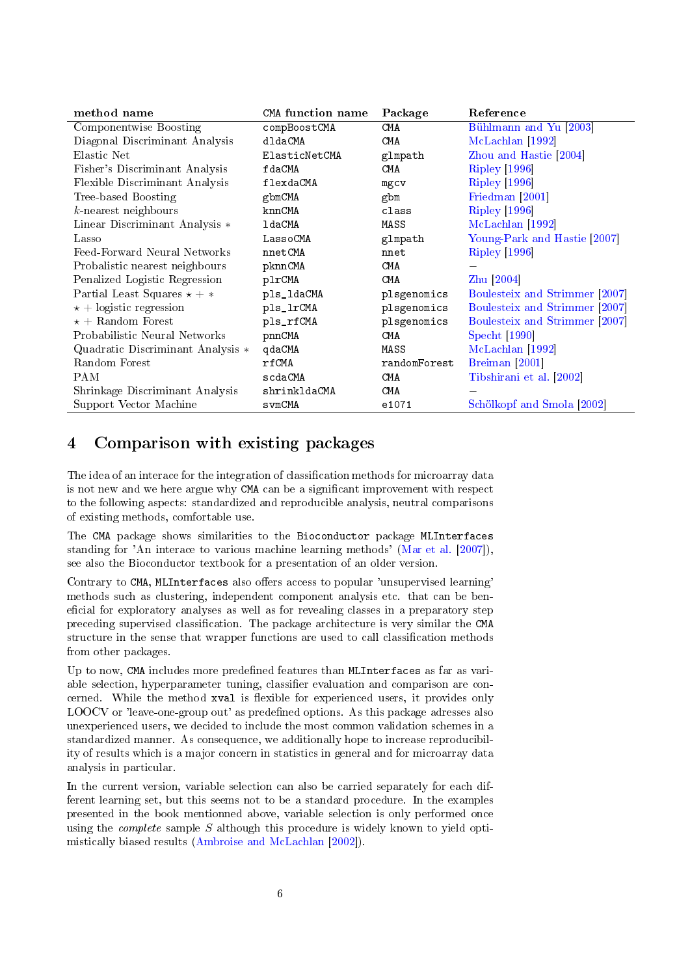| method name                          | <b>CMA</b> function name | Package      | Reference                         |
|--------------------------------------|--------------------------|--------------|-----------------------------------|
| Componentwise Boosting               | compBoostCMA             | CMA          | Bühlmann and Yu <sup>[2003]</sup> |
| Diagonal Discriminant Analysis       | dldaCMA                  | CMA          | McLachlan [1992]                  |
| Elastic Net                          | ElasticNetCMA            | glmpath      | Zhou and Hastie [2004]            |
| Fisher's Discriminant Analysis       | fdaCMA                   | CMA          | Ripley [1996]                     |
| Flexible Discriminant Analysis       | flexdaCMA                | mgcv         | <b>Ripley</b> [1996]              |
| Tree-based Boosting                  | gbmCMA                   | gbm          | Friedman [2001]                   |
| $k$ -nearest neighbours              | knnCMA                   | class        | <b>Ripley</b> [1996]              |
| Linear Discriminant Analysis *       | ldaCMA                   | MASS         | McLachlan [1992]                  |
| Lasso                                | LassoCMA                 | glmpath      | Young-Park and Hastie [2007]      |
| Feed-Forward Neural Networks         | nnetCMA                  | nnet         | <b>Ripley</b> [1996]              |
| Probalistic nearest neighbours       | pknnCMA                  | CMA          |                                   |
| Penalized Logistic Regression        | plrCMA                   | CMA          | Zhu $[2004]$                      |
| Partial Least Squares $\star + \ast$ | pls_ldaCMA               | plsgenomics  | Boulesteix and Strimmer [2007]    |
| $\star$ + logistic regression        | pls_lrCMA                | plsgenomics  | Boulesteix and Strimmer [2007]    |
| $\star$ + Random Forest              | pls_rfCMA                | plsgenomics  | Boulesteix and Strimmer [2007]    |
| Probabilistic Neural Networks        | pnnCMA                   | CMA          | Specht [1990]                     |
| Quadratic Discriminant Analysis *    | qdaCMA                   | MASS         | McLachlan [1992]                  |
| Random Forest                        | rfCMA                    | randomForest | Breiman [2001]                    |
| <b>PAM</b>                           | scdaCMA                  | CMA          | Tibshirani et al. [2002]          |
| Shrinkage Discriminant Analysis      | shrinkldaCMA             | CMA          |                                   |
| Support Vector Machine               | svmCMA                   | e1071        | Schölkopf and Smola [2002]        |

## 4 Comparison with existing packages

The idea of an interace for the integration of classification methods for microarray data is not new and we here argue why CMA can be a significant improvement with respect to the following aspects: standardized and reproducible analysis, neutral comparisons of existing methods, comfortable use.

The CMA package shows similarities to the Bioconductor package MLInterfaces standing for 'An interace to various machine learning methods' [\(Mar et al.](#page-13-13) [\[2007\]](#page-13-13)), see also the Bioconductor textbook for a presentation of an older version.

Contrary to CMA, MLInterfaces also offers access to popular 'unsupervised learning' methods such as clustering, independent component analysis etc. that can be beneficial for exploratory analyses as well as for revealing classes in a preparatory step preceding supervised classification. The package architecture is very similar the CMA structure in the sense that wrapper functions are used to call classification methods from other packages.

Up to now, CMA includes more predefined features than MLInterfaces as far as variable selection, hyperparameter tuning, classifier evaluation and comparison are concerned. While the method xval is flexible for experienced users, it provides only LOOCV or 'leave-one-group out' as predened options. As this package adresses also unexperienced users, we decided to include the most common validation schemes in a standardized manner. As consequence, we additionally hope to increase reproducibility of results which is a major concern in statistics in general and for microarray data analysis in particular.

In the current version, variable selection can also be carried separately for each different learning set, but this seems not to be a standard procedure. In the examples presented in the book mentionned above, variable selection is only performed once using the *complete* sample  $S$  although this procedure is widely known to yield optimistically biased results [\(Ambroise and McLachlan](#page-12-7) [\[2002\]](#page-12-7)).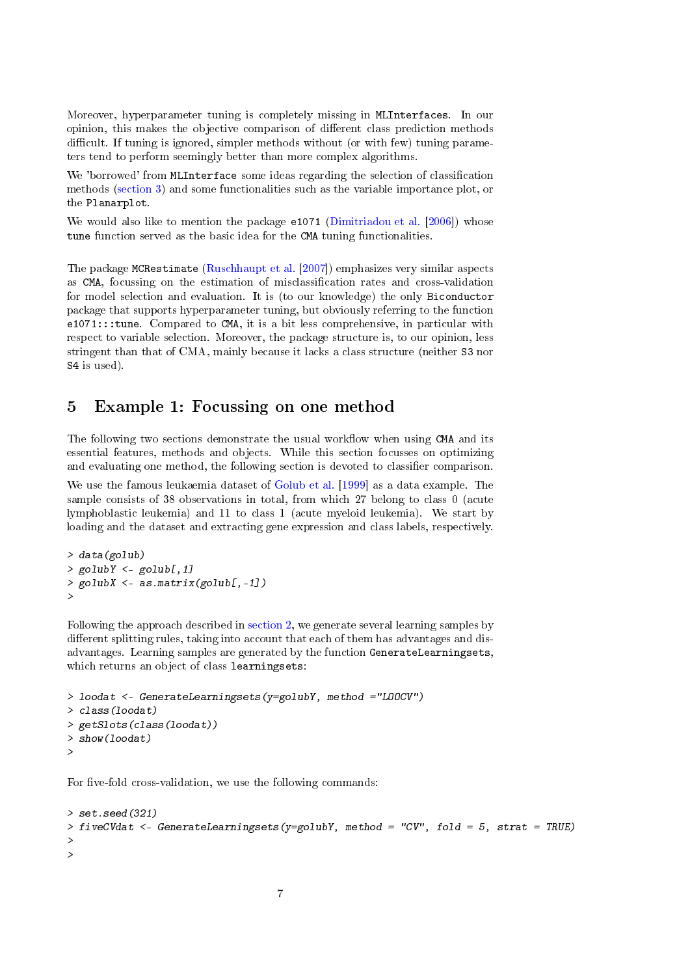Moreover, hyperparameter tuning is completely missing in MLInterfaces. In our opinion, this makes the objective comparison of different class prediction methods difficult. If tuning is ignored, simpler methods without (or with few) tuning parameters tend to perform seemingly better than more complex algorithms.

We 'borrowed' from MLInterface some ideas regarding the selection of classification methods [\(section](#page-3-0) [3\)](#page-3-0) and some functionalities such as the variable importance plot, or the Planarplot.

We would also like to mention the package e1071 [\(Dimitriadou et al.](#page-12-8) [\[2006\]](#page-12-8)) whose tune function served as the basic idea for the CMA tuning functionalities.

The package MCRestimate [\(Ruschhaupt et al.](#page-13-14) [\[2007\]](#page-13-14)) emphasizes very similar aspects as CMA, focussing on the estimation of misclassication rates and cross-validation for model selection and evaluation. It is (to our knowledge) the only Biconductor package that supports hyperparameter tuning, but obviously referring to the function e1071:::tune. Compared to CMA, it is a bit less comprehensive, in particular with respect to variable selection. Moreover, the package structure is, to our opinion, less stringent than that of CMA, mainly because it lacks a class structure (neither S3 nor S4 is used).

#### 5 Example 1: Focussing on one method

The following two sections demonstrate the usual workflow when using CMA and its essential features, methods and objects. While this section focusses on optimizing and evaluating one method, the following section is devoted to classifier comparison.

We use the famous leukaemia dataset of [Golub et al.](#page-12-5) [\[1999\]](#page-12-5) as a data example. The sample consists of 38 observations in total, from which 27 belong to class 0 (acute lymphoblastic leukemia) and 11 to class 1 (acute myeloid leukemia). We start by loading and the dataset and extracting gene expression and class labels, respectively.

```
> data(golub)
> golubY \leq golub[, 1]
> golubX \leq as.matrix(golub[,-1])
>
```
Following the approach described in [section](#page-0-0) [2,](#page-0-0) we generate several learning samples by different splitting rules, taking into account that each of them has advantages and disadvantages. Learning samples are generated by the function GenerateLearningsets, which returns an object of class learningsets:

```
> loodat <- GenerateLearningsets(y=golubY, method ="LOOCV")
> class(loodat)
> getSlots(class(loodat))
> show(loodat)
>
```
For five-fold cross-validation, we use the following commands:

```
> set.seed (321)
> fiveCVdat <- GenerateLearningsets(y=golubY, method = "CV", fold = 5, strat = TRUE)
>
>
```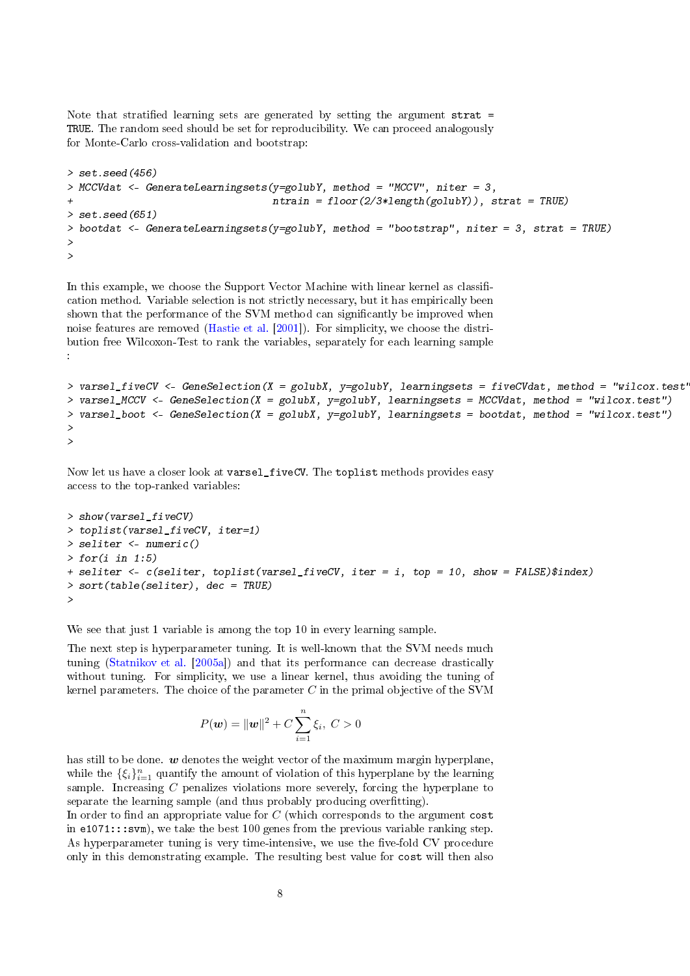Note that stratified learning sets are generated by setting the argument strat = TRUE. The random seed should be set for reproducibility. We can proceed analogously for Monte-Carlo cross-validation and bootstrap:

```
> set. seed (456)
> MCCVdat <- GenerateLearningsets(y=golubY, method = "MCCV", niter = 3,
                                   ntrain = floor(2/3*length(golubY)), strat = TRUE)
> set. seed (651)
> bootdat <- GenerateLearningsets(y=golubY, method = "bootstrap", niter = 3, strat = TRUE)
>
>
```
In this example, we choose the Support Vector Machine with linear kernel as classification method. Variable selection is not strictly necessary, but it has empirically been shown that the performance of the SVM method can significantly be improved when noise features are removed [\(Hastie et al.](#page-13-15) [\[2001\]](#page-13-15)). For simplicity, we choose the distribution free Wilcoxon-Test to rank the variables, separately for each learning sample :

```
> varsel_fiveCV <- GeneSelection(X = golubX, y=golubY, learningsets = fiveCVdat, method = "wilcox.test'
> varsel_MCCV <- GeneSelection(X = golubX, y=golubY, learningsets = MCCVdat, method = "wilcox.test")
> varsel_boot <- GeneSelection(X = golubX, y=golubY, learningsets = bootdat, method = "wilcox.test")
>
>
```
Now let us have a closer look at varsel\_fiveCV. The toplist methods provides easy access to the top-ranked variables:

```
> show(varsel_fiveCV)
> toplist (varsel fiveCV, iter=1)
> seliter <- numeric()
> for(i in 1:5)+ seliter <- c(seliter, toplist(varsel_fiveCV, iter = i, top = 10, show = FALSE)$index)
> sort(table(seliter), dec = TRUE)
>
```
We see that just 1 variable is among the top 10 in every learning sample.

The next step is hyperparameter tuning. It is well-known that the SVM needs much tuning [\(Statnikov et al.](#page-13-3) [\[2005a\]](#page-13-3)) and that its performance can decrease drastically without tuning. For simplicity, we use a linear kernel, thus avoiding the tuning of kernel parameters. The choice of the parameter  $C$  in the primal objective of the SVM

$$
P(\mathbf{w}) = \|\mathbf{w}\|^2 + C \sum_{i=1}^{n} \xi_i, \ C > 0
$$

has still to be done.  $\boldsymbol{w}$  denotes the weight vector of the maximum margin hyperplane, while the  $\{\xi_i\}_{i=1}^n$  quantify the amount of violation of this hyperplane by the learning sample. Increasing  $C$  penalizes violations more severely, forcing the hyperplane to separate the learning sample (and thus probably producing overfitting).

In order to find an appropriate value for  $C$  (which corresponds to the argument  $cost$ in  $e1071:::$ svm), we take the best 100 genes from the previous variable ranking step. As hyperparameter tuning is very time-intensive, we use the five-fold CV procedure only in this demonstrating example. The resulting best value for cost will then also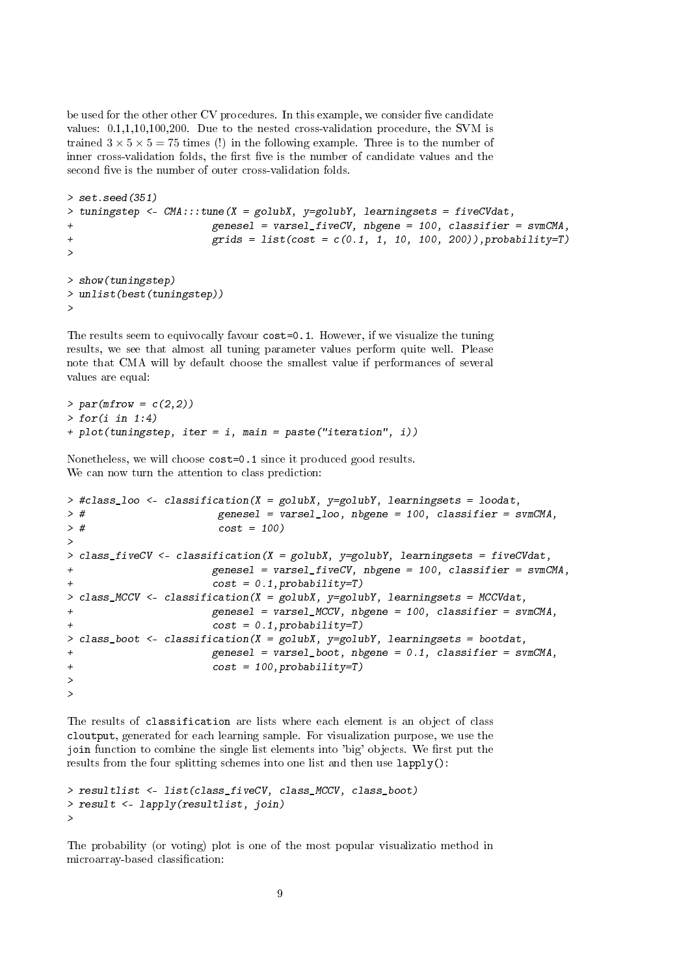be used for the other other CV procedures. In this example, we consider five candidate values: 0.1,1,10,100,200. Due to the nested cross-validation procedure, the SVM is trained  $3 \times 5 \times 5 = 75$  times (!) in the following example. Three is to the number of inner cross-validation folds, the first five is the number of candidate values and the second five is the number of outer cross-validation folds.

```
> set.seed(351)
> tuningstep <- CMA:::tune(X = golubX, y=golubY, learningsets = fiveCVdat,
+ genesel = varsel_fiveCV, nbgene = 100, classifier = svmCMA,
+ grids = list(cost = c(0.1, 1, 10, 100, 200)),probability=T)
>
> show(tuningstep)
> unlist(best(tuningstep))
>
```
The results seem to equivocally favour cost=0.1. However, if we visualize the tuning results, we see that almost all tuning parameter values perform quite well. Please note that CMA will by default choose the smallest value if performances of several values are equal:

```
> par(mfrow = c(2,2))> for(i in 1:4)+ plot(tuningstep, iter = i, main = paste("iteration", i))
```
Nonetheless, we will choose cost=0.1 since it produced good results. We can now turn the attention to class prediction:

```
> #class_loo <- classification(X = golubX, y=golubY, learningsets = loodat,
> # genesel = varsel_loo, nbgene = 100, classifier = svmCMA,
> # cost = 100)
>
> class_fiveCV <- classification(X = golubX, y=golubY, learningsets = fiveCVdat,
+ genesel = varsel_fiveCV, nbgene = 100, classifier = svmCMA,
+ cost = 0.1,probability=T)
> class_MCCV <- classification(X = golubX, y=golubY, learningsets = MCCVdat,
+ genesel = varsel_MCCV, nbgene = 100, classifier = svmCMA,
+ cost = 0.1,probability=T)
> class_boot <- classification(X = \text{golubX}, y = \text{golubY}, learningsets = bootdat,
+ genesel = varsel_boot, nbgene = 0.1, classifier = svmCMA,
+ cost = 100,probability=T)
>
>
```
The results of classification are lists where each element is an object of class cloutput, generated for each learning sample. For visualization purpose, we use the join function to combine the single list elements into 'big' objects. We first put the results from the four splitting schemes into one list and then use lapply():

```
> resultlist <- list(class_fiveCV, class_MCCV, class_boot)
> result <- lapply(resultlist, join)
>
```
The probability (or voting) plot is one of the most popular visualizatio method in microarray-based classification: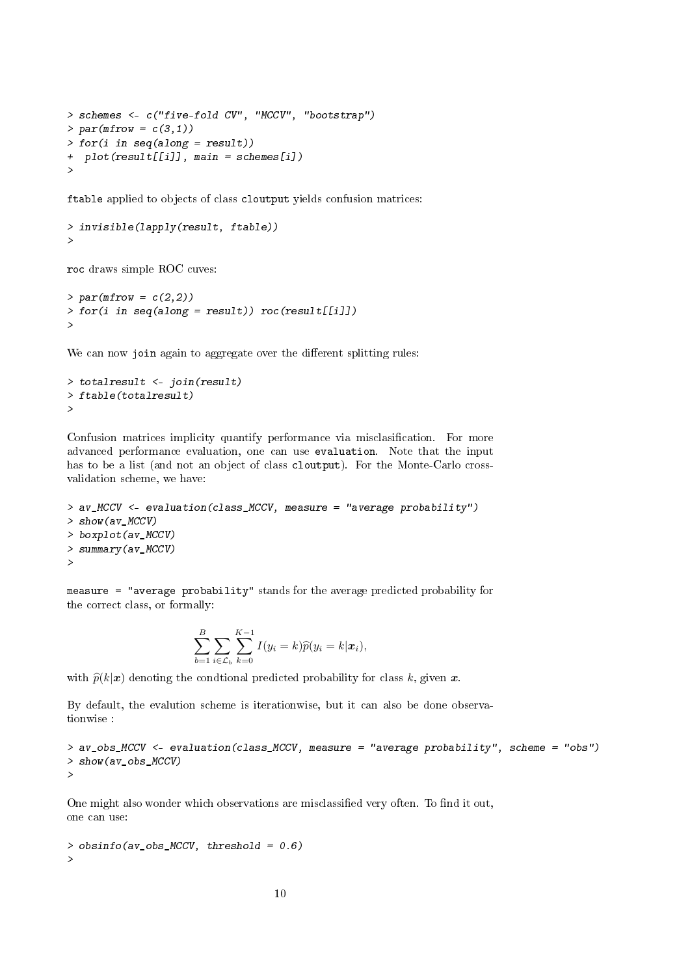```
> schemes <- c("five-fold CV", "MCCV", "bootstrap")
> par(mfrow = c(3,1))> for(i in seq(along = result))
+ plot(result[[i]], main = schemes[i])
>
```
ftable applied to objects of class cloutput yields confusion matrices:

```
> invisible(lapply(result, ftable))
>
```
roc draws simple ROC cuves:

```
> par(mfrow = c(2,2))> for(i in seq(along = result)) roc(result[[i]])
>
```
We can now join again to aggregate over the different splitting rules:

```
> totalresult <- join(result)
> ftable(totalresult)
>
```
Confusion matrices implicity quantify performance via misclasification. For more advanced performance evaluation, one can use evaluation. Note that the input has to be a list (and not an object of class cloutput). For the Monte-Carlo crossvalidation scheme, we have:

```
> av_MCCV <- evaluation(class_MCCV, measure = "average probability")
> show(av_MCCV)
> boxplot(av_MCCV)
> summary(av_MCCV)
>
```
measure = "average probability" stands for the average predicted probability for the correct class, or formally:

$$
\sum_{b=1}^{B} \sum_{i \in \mathcal{L}_b} \sum_{k=0}^{K-1} I(y_i = k) \widehat{p}(y_i = k | \mathbf{x}_i),
$$

with  $\hat{p}(k|x)$  denoting the condtional predicted probability for class k, given x.

By default, the evalution scheme is iterationwise, but it can also be done observationwise :

```
> av_obs_MCCV <- evaluation(class_MCCV, measure = "average probability", scheme = "obs")
> show(av_obs_MCCV)
>
```
One might also wonder which observations are misclassified very often. To find it out, one can use:

 $>$  obsinfo(av\_obs\_MCCV, threshold = 0.6) >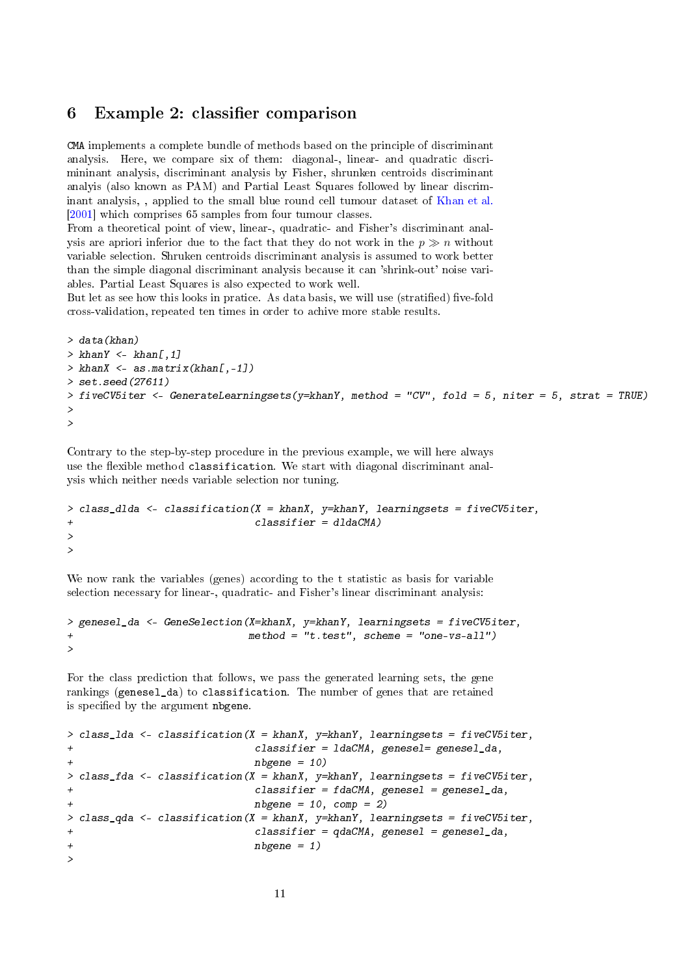#### 6 Example 2: classifier comparison

CMA implements a complete bundle of methods based on the principle of discriminant analysis. Here, we compare six of them: diagonal-, linear- and quadratic discrimininant analysis, discriminant analysis by Fisher, shrunken centroids discriminant analyis (also known as PAM) and Partial Least Squares followed by linear discriminant analysis, , applied to the small blue round cell tumour dataset of [Khan et al.](#page-13-16) [\[2001\]](#page-13-16) which comprises 65 samples from four tumour classes.

From a theoretical point of view, linear-, quadratic- and Fisher's discriminant analysis are apriori inferior due to the fact that they do not work in the  $p \gg n$  without variable selection. Shruken centroids discriminant analysis is assumed to work better than the simple diagonal discriminant analysis because it can 'shrink-out' noise variables. Partial Least Squares is also expected to work well.

But let as see how this looks in pratice. As data basis, we will use (stratified) five-fold cross-validation, repeated ten times in order to achive more stable results.

```
> data(khan)
> khanY \leq khan[, 1]> khanX <- as.matrix(khan[-1])
> set.seed(27611)
> fiveCV5iter <- GenerateLearningsets(y=khanY, method = "CV", fold = 5, niter = 5, strat = TRUE)
>
>
```
Contrary to the step-by-step procedure in the previous example, we will here always use the flexible method classification. We start with diagonal discriminant analysis which neither needs variable selection nor tuning.

```
> class_dlda <- classification(X = khanX, y=khanY, learningsets = fiveCV5iter,
+ classifier = dldaCMA)
>
>
```
We now rank the variables (genes) according to the t statistic as basis for variable selection necessary for linear-, quadratic- and Fisher's linear discriminant analysis:

```
> genesel_da <- GeneSelection(X=khanX, y=khanY, learningsets = fiveCV5iter,
+ method = "t.test", scheme = "one-vs-all")
>
```
For the class prediction that follows, we pass the generated learning sets, the gene rankings (genesel\_da) to classification. The number of genes that are retained is specified by the argument nbgene.

```
> class_lda <- classification(X = khanX, y=khanY, learningsets = fiveCV5iter,
+ classifier = ldaCMA, genesel= genesel_da,
+ nbgene = 10)
> class_fda <- classification(X = khanX, y =khanY, learningsets = fiveCV5iter,
                        classifier = fdaCMA, genesel = genesel_da,
                        nbgene = 10, comp = 2)> class_qda <- classification(X = khanX, y=khanY, learningsets = fiveCV5iter,
+ classifier = qdaCMA, genesel = genesel_da,
+ nbgene = 1)
>
```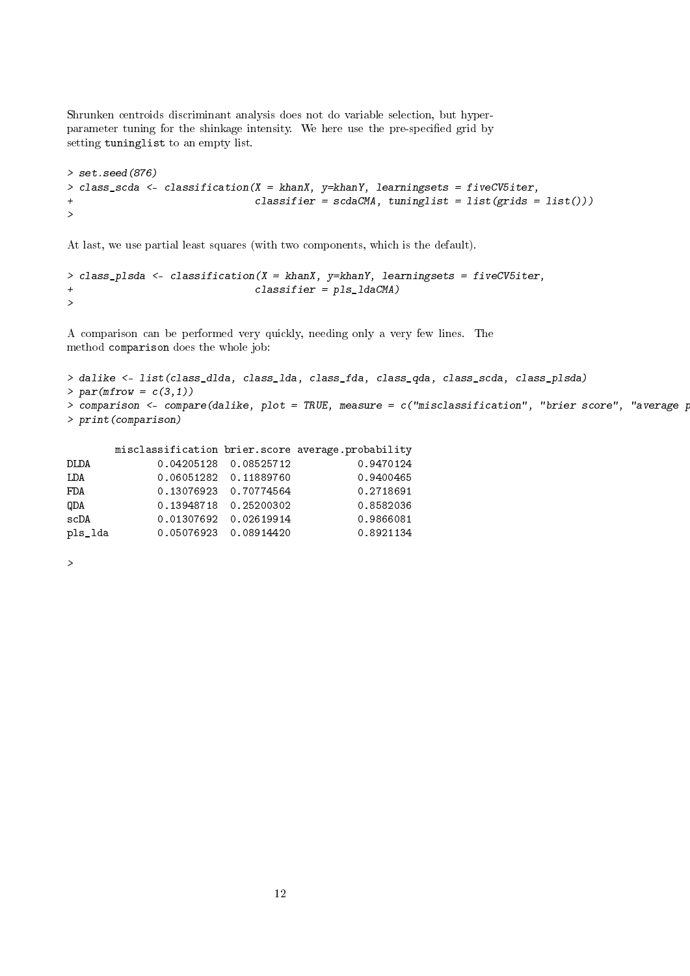Shrunken centroids discriminant analysis does not do variable selection, but hyperparameter tuning for the shinkage intensity. We here use the pre-specified grid by setting tuninglist to an empty list.

```
> set.seed(876)
> class_scda <- classification(X = khanX, y=khanY, learningsets = fiveCV5iter,
+ classifier = scdaCMA, tuninglist = list(grids = list()))
>
```
At last, we use partial least squares (with two components, which is the default).

```
> class_plsda <- classification(X = khanX, y=khanY, learningsets = fiveCV5iter,
+ classifier = pls_ldaCMA)
>
```
A comparison can be performed very quickly, needing only a very few lines. The method comparison does the whole job:

```
> dalike <- list(class_dlda, class_lda, class_fda, class_qda, class_scda, class_plsda)
> par(mfrow = c(3,1))> comparison \leq- compare(dalike, plot = TRUE, measure = c("misclassification", "brier score", "average p
> print(comparison)
```

|         |                       | misclassification brier.score average.probability |
|---------|-----------------------|---------------------------------------------------|
| DLDA    | 0.04205128 0.08525712 | 0.9470124                                         |
| LDA     | 0.06051282 0.11889760 | 0.9400465                                         |
| FDA     | 0.13076923 0.70774564 | 0.2718691                                         |
| QDA     | 0.13948718 0.25200302 | 0.8582036                                         |
| scDA    | 0.01307692 0.02619914 | 0.9866081                                         |
| pls_lda | 0.05076923 0.08914420 | 0.8921134                                         |

>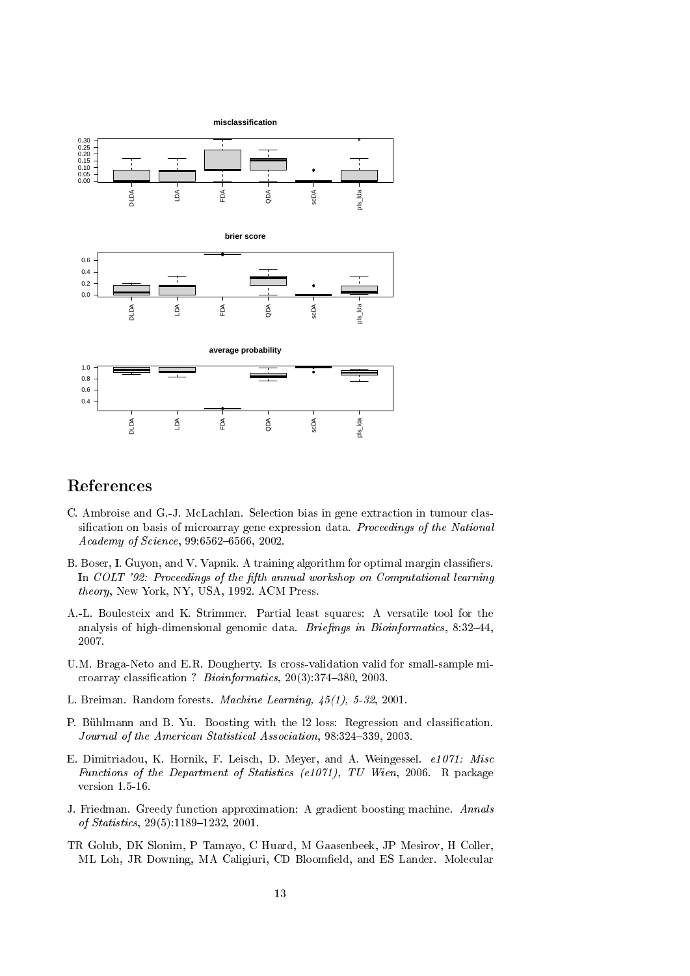

### References

- <span id="page-12-7"></span>C. Ambroise and G.-J. McLachlan. Selection bias in gene extraction in tumour classification on basis of microarray gene expression data. *Proceedings of the National* Academy of Science, 99:6562-6566, 2002.
- <span id="page-12-1"></span>B. Boser, I. Guyon, and V. Vapnik. A training algorithm for optimal margin classifiers. In COLT '92: Proceedings of the fifth annual workshop on Computational learning theory, New York, NY, USA, 1992. ACM Press.
- <span id="page-12-4"></span>A.-L. Boulesteix and K. Strimmer. Partial least squares: A versatile tool for the analysis of high-dimensional genomic data. Briefings in Bioinformatics,  $8:32-44$ , 2007.
- <span id="page-12-0"></span>U.M. Braga-Neto and E.R. Dougherty. Is cross-validation valid for small-sample microarray classification ? Bioinformatics, 20(3):374-380, 2003.
- <span id="page-12-6"></span>L. Breiman. Random forests. Machine Learning, 45(1), 5-32, 2001.
- <span id="page-12-3"></span>P. Bühlmann and B. Yu. Boosting with the 12 loss: Regression and classification. Journal of the American Statistical Association, 98:324-339, 2003.
- <span id="page-12-8"></span>E. Dimitriadou, K. Hornik, F. Leisch, D. Meyer, and A. Weingessel. e1071: Misc Functions of the Department of Statistics (e1071), TU Wien, 2006. R package version 1.5-16.
- <span id="page-12-2"></span>J. Friedman. Greedy function approximation: A gradient boosting machine. Annals of Statistics, 29(5):1189-1232, 2001.
- <span id="page-12-5"></span>TR Golub, DK Slonim, P Tamayo, C Huard, M Gaasenbeek, JP Mesirov, H Coller, ML Loh, JR Downing, MA Caligiuri, CD Bloomfield, and ES Lander. Molecular